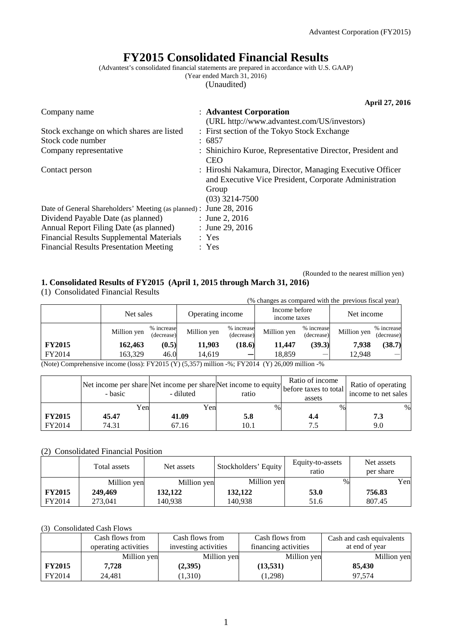# **FY2015 Consolidated Financial Results**

(Advantest's consolidated financial statements are prepared in accordance with U.S. GAAP)

(Year ended March 31, 2016)

(Unaudited)

|                                                                    | April 27, 2016                                             |
|--------------------------------------------------------------------|------------------------------------------------------------|
| Company name                                                       | : Advantest Corporation                                    |
|                                                                    | (URL http://www.advantest.com/US/investors)                |
| Stock exchange on which shares are listed                          | : First section of the Tokyo Stock Exchange                |
| Stock code number                                                  | : 6857                                                     |
| Company representative                                             | : Shinichiro Kuroe, Representative Director, President and |
|                                                                    | <b>CEO</b>                                                 |
| Contact person                                                     | : Hiroshi Nakamura, Director, Managing Executive Officer   |
|                                                                    | and Executive Vice President, Corporate Administration     |
|                                                                    | Group                                                      |
|                                                                    | $(03)$ 3214-7500                                           |
| Date of General Shareholders' Meeting (as planned) : June 28, 2016 |                                                            |
| Dividend Payable Date (as planned)                                 | : June 2, $2016$                                           |
| Annual Report Filing Date (as planned)                             | : June 29, 2016                                            |
| <b>Financial Results Supplemental Materials</b>                    | : Yes                                                      |
| <b>Financial Results Presentation Meeting</b>                      | : Yes                                                      |

(Rounded to the nearest million yen)

# **1. Consolidated Results of FY2015 (April 1, 2015 through March 31, 2016)**

(1) Consolidated Financial Results

|               |             |                          | (% changes as compared with the previous fiscal year) |                          |                               |                          |             |                          |
|---------------|-------------|--------------------------|-------------------------------------------------------|--------------------------|-------------------------------|--------------------------|-------------|--------------------------|
|               | Net sales   |                          | Operating income                                      |                          | Income before<br>income taxes |                          | Net income  |                          |
|               | Million yen | % increase<br>(decrease) | Million yen                                           | % increase<br>(decrease) | Million yen                   | % increase<br>(decrease) | Million yen | % increase<br>(decrease) |
| <b>FY2015</b> | 162,463     | (0.5)                    | 11,903                                                | (18.6)                   | 11,447                        | (39.3)                   | 7,938       | (38.7)                   |
| FY2014        | 163,329     | 46.0                     | 14,619                                                |                          | 18,859                        | $\sim$                   | 12,948      |                          |

(Note) Comprehensive income (loss): FY2015 (Y) (5,357) million -%; FY2014 (Y) 26,009 million -%

|               | Net income per share Net income per share Net income to equity before taxes to total<br>- basic | - diluted | ratio | Ratio of income<br>assets | Ratio of operating<br>income to net sales |
|---------------|-------------------------------------------------------------------------------------------------|-----------|-------|---------------------------|-------------------------------------------|
|               | Yen                                                                                             | Yen       | %     | $\%$                      | $\%$                                      |
| <b>FY2015</b> | 45.47                                                                                           | 41.09     | 5.8   |                           | 7.3                                       |
| FY2014        | 74.31                                                                                           | 67.16     | 10.1  |                           | 9.0                                       |

### (2) Consolidated Financial Position

|               | Total assets | Net assets  | Stockholders' Equity | Equity-to-assets<br>ratio | Net assets<br>per share |
|---------------|--------------|-------------|----------------------|---------------------------|-------------------------|
|               | Million yen  | Million yen | Million yen          | $\%$                      | Yen                     |
| <b>FY2015</b> | 249,469      | 132,122     | 132,122              | 53.0                      | 756.83                  |
| FY2014        | 273.041      | 140.938     | 140.938              | 51.6                      | 807.45                  |

#### (3) Consolidated Cash Flows

|               | Cash flows from      | Cash flows from      | Cash flows from      | Cash and cash equivalents |
|---------------|----------------------|----------------------|----------------------|---------------------------|
|               | operating activities | investing activities | financing activities | at end of year            |
|               | Million yen          | Million yen          | Million yen          | Million yen               |
| <b>FY2015</b> | 7.728                | (2,395)              | (13, 531)            | 85,430                    |
| FY2014        | 24,481               | 1,310)               | (1,298)              | 97.574                    |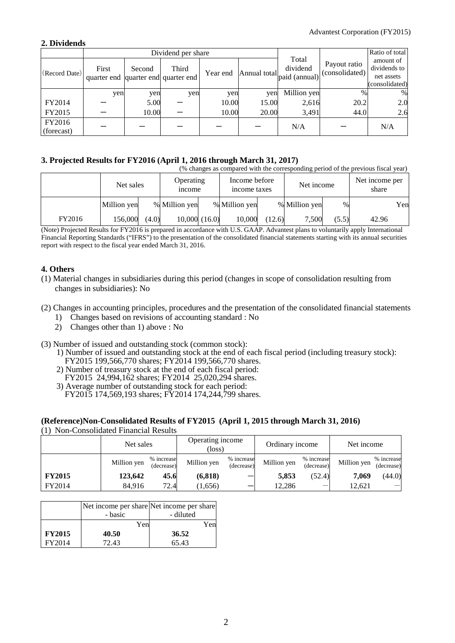## **2. Dividends**

|                      |                                              |        | Dividend per share |          |              | Ratio of total                     |                                |                                                           |
|----------------------|----------------------------------------------|--------|--------------------|----------|--------------|------------------------------------|--------------------------------|-----------------------------------------------------------|
| (Record Date)        | First<br>quarter end quarter end quarter end | Second | Third              | Year end | Annual total | Total<br>dividend<br>paid (annual) | Payout ratio<br>(consolidated) | amount of<br>dividends to<br>net assets<br>(consolidated) |
|                      | yen                                          | yen    | yen                | yen      | yen          | Million yen                        | $\frac{0}{0}$                  | %                                                         |
| FY2014               |                                              | 5.00   |                    | 10.00    | 15.00        | 2,616                              | 20.2                           | 2.0                                                       |
| FY2015               |                                              | 10.00  |                    | 10.00    | 20.00        | 3,491                              | 44.0                           | 2.6                                                       |
| FY2016<br>(forecast) |                                              |        |                    |          |              | N/A                                |                                | N/A                                                       |

# **3. Projected Results for FY2016 (April 1, 2016 through March 31, 2017)**

|        | (% changes as compared with the corresponding period of the previous fiscal year) |       |                                   |  |                               |        |               |       |                         |     |  |
|--------|-----------------------------------------------------------------------------------|-------|-----------------------------------|--|-------------------------------|--------|---------------|-------|-------------------------|-----|--|
|        | Net sales                                                                         |       | <b>Operating</b><br><i>n</i> come |  | Income before<br>income taxes |        | Net income    |       | Net income per<br>share |     |  |
|        | Million yen                                                                       |       | % Million yen                     |  | % Million yen                 |        | % Million yen | $\%$  |                         | Yen |  |
| FY2016 | 156.000                                                                           | (4.0) | 10,000(16.0)                      |  | 10,000                        | (12.6) | 7,500         | (5.5) | 42.96                   |     |  |

(Note) Projected Results for FY2016 is prepared in accordance with U.S. GAAP. Advantest plans to voluntarily apply International Financial Reporting Standards ("IFRS") to the presentation of the consolidated financial statements starting with its annual securities report with respect to the fiscal year ended March 31, 2016.

# **4. Others**

(1) Material changes in subsidiaries during this period (changes in scope of consolidation resulting from changes in subsidiaries): No

## (2) Changes in accounting principles, procedures and the presentation of the consolidated financial statements

- 1) Changes based on revisions of accounting standard : No
- 2) Changes other than 1) above : No
- (3) Number of issued and outstanding stock (common stock):
	- 1) Number of issued and outstanding stock at the end of each fiscal period (including treasury stock): FY2015 199,566,770 shares; FY2014 199,566,770 shares.
	- 2) Number of treasury stock at the end of each fiscal period:
	- FY2015 24,994,162 shares; FY2014 25,020,294 shares.
	- 3) Average number of outstanding stock for each period: FY2015 174,569,193 shares; FY2014 174,244,799 shares.

# **(Reference)Non-Consolidated Results of FY2015 (April 1, 2015 through March 31, 2016)**

(1) Non-Consolidated Financial Results

|               | Net sales   |                          | Operating income<br>(loss) |                          | Ordinary income |                          | Net income  |                          |
|---------------|-------------|--------------------------|----------------------------|--------------------------|-----------------|--------------------------|-------------|--------------------------|
|               | Million yen | % increase<br>(decrease) | Million yen                | % increase<br>(decrease) | Million yen     | % increase<br>(decrease) | Million yen | % increase<br>(decrease) |
| <b>FY2015</b> | 123,642     | 45.6                     | (6, 818)                   |                          | 5,853           | (52.4)                   | 7.069       | (44.0)                   |
| FY2014        | 84,916      | 72.4                     | (1,656)                    |                          | 12,286          |                          | 12,621      |                          |

|               | - basic | Net income per share Net income per share<br>- diluted |
|---------------|---------|--------------------------------------------------------|
|               | Yen     | Yen                                                    |
| <b>FY2015</b> | 40.50   | 36.52                                                  |
| FY2014        | 72.43   | 65.43                                                  |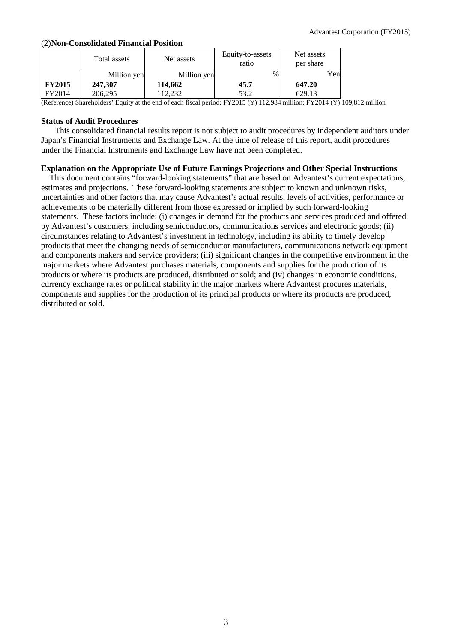# (2)**Non-Consolidated Financial Position**

|               | Total assets | Net assets  | Equity-to-assets<br>ratio | Net assets<br>per share |
|---------------|--------------|-------------|---------------------------|-------------------------|
|               | Million yen  | Million yen | $\%$                      | Yenl                    |
| <b>FY2015</b> | 247,307      | 114,662     | 45.7                      | 647.20                  |
| FY2014        | 206,295      | 112.232     | 53.2                      | 629.13                  |

(Reference) Shareholders' Equity at the end of each fiscal period: FY2015 (Y) 112,984 million; FY2014 (Y) 109,812 million

### **Status of Audit Procedures**

This consolidated financial results report is not subject to audit procedures by independent auditors under Japan's Financial Instruments and Exchange Law. At the time of release of this report, audit procedures under the Financial Instruments and Exchange Law have not been completed.

# **Explanation on the Appropriate Use of Future Earnings Projections and Other Special Instructions**

This document contains "forward-looking statements" that are based on Advantest's current expectations, estimates and projections. These forward-looking statements are subject to known and unknown risks, uncertainties and other factors that may cause Advantest's actual results, levels of activities, performance or achievements to be materially different from those expressed or implied by such forward-looking statements. These factors include: (i) changes in demand for the products and services produced and offered by Advantest's customers, including semiconductors, communications services and electronic goods; (ii) circumstances relating to Advantest's investment in technology, including its ability to timely develop products that meet the changing needs of semiconductor manufacturers, communications network equipment and components makers and service providers; (iii) significant changes in the competitive environment in the major markets where Advantest purchases materials, components and supplies for the production of its products or where its products are produced, distributed or sold; and (iv) changes in economic conditions, currency exchange rates or political stability in the major markets where Advantest procures materials, components and supplies for the production of its principal products or where its products are produced, distributed or sold.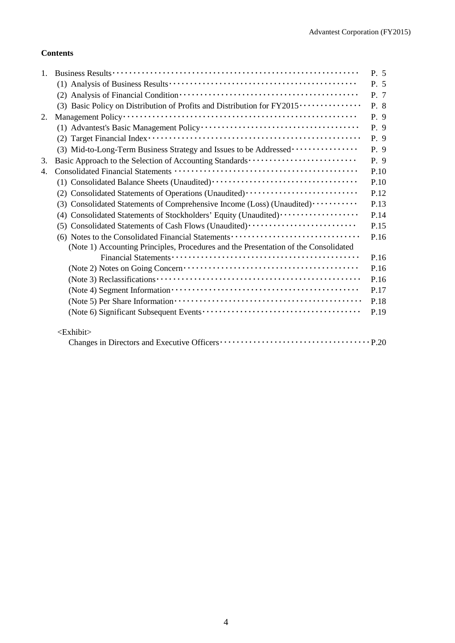# **Contents**

| $1_{\cdot}$ |                                                                                         | P. 5 |
|-------------|-----------------------------------------------------------------------------------------|------|
|             |                                                                                         | P. 5 |
|             |                                                                                         | P. 7 |
|             | (3) Basic Policy on Distribution of Profits and Distribution for FY2015 ··············· | P. 8 |
| 2.          |                                                                                         | P. 9 |
|             |                                                                                         | P. 9 |
|             |                                                                                         | P. 9 |
|             | (3) Mid-to-Long-Term Business Strategy and Issues to be Addressed                       | P. 9 |
| 3.          | Basic Approach to the Selection of Accounting Standards                                 | P. 9 |
| 4.          |                                                                                         | P.10 |
|             |                                                                                         | P.10 |
|             | (2) Consolidated Statements of Operations (Unaudited)                                   | P.12 |
|             | (3) Consolidated Statements of Comprehensive Income (Loss) (Unaudited)                  | P.13 |
|             | (4) Consolidated Statements of Stockholders' Equity (Unaudited)                         | P.14 |
|             | (5) Consolidated Statements of Cash Flows (Unaudited)                                   | P.15 |
|             | (6) Notes to the Consolidated Financial Statements                                      | P.16 |
|             | (Note 1) Accounting Principles, Procedures and the Presentation of the Consolidated     |      |
|             |                                                                                         | P.16 |
|             |                                                                                         | P.16 |
|             |                                                                                         | P.16 |
|             |                                                                                         | P.17 |
|             |                                                                                         | P.18 |
|             |                                                                                         | P.19 |
|             | <exhibit></exhibit>                                                                     |      |
|             |                                                                                         |      |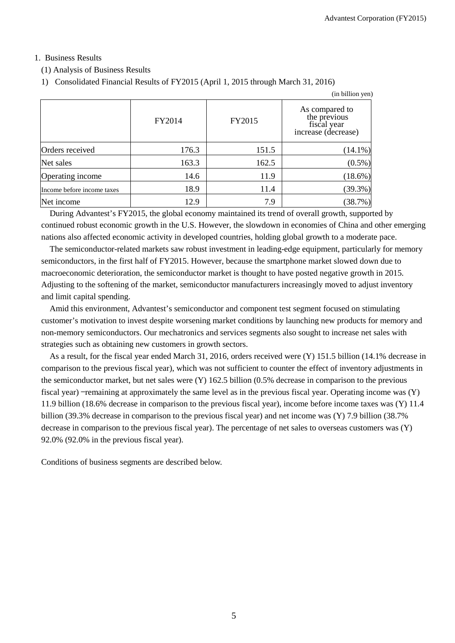# 1. Business Results

(1) Analysis of Business Results

```
1) Consolidated Financial Results of FY2015 (April 1, 2015 through March 31, 2016)
```

|                            |        |        | (in billion yen)                                                     |
|----------------------------|--------|--------|----------------------------------------------------------------------|
|                            | FY2014 | FY2015 | As compared to<br>the previous<br>fiscal year<br>increase (decrease) |
| Orders received            | 176.3  | 151.5  | $(14.1\%)$                                                           |
| Net sales                  | 163.3  | 162.5  | $(0.5\%)$                                                            |
| Operating income           | 14.6   | 11.9   | (18.6%)                                                              |
| Income before income taxes | 18.9   | 11.4   | (39.3%)                                                              |
| Net income                 | 12.9   | 7.9    | (38.7%)                                                              |

During Advantest's FY2015, the global economy maintained its trend of overall growth, supported by continued robust economic growth in the U.S. However, the slowdown in economies of China and other emerging nations also affected economic activity in developed countries, holding global growth to a moderate pace.

The semiconductor-related markets saw robust investment in leading-edge equipment, particularly for memory semiconductors, in the first half of FY2015. However, because the smartphone market slowed down due to macroeconomic deterioration, the semiconductor market is thought to have posted negative growth in 2015. Adjusting to the softening of the market, semiconductor manufacturers increasingly moved to adjust inventory and limit capital spending.

Amid this environment, Advantest's semiconductor and component test segment focused on stimulating customer's motivation to invest despite worsening market conditions by launching new products for memory and non-memory semiconductors. Our mechatronics and services segments also sought to increase net sales with strategies such as obtaining new customers in growth sectors.

As a result, for the fiscal year ended March 31, 2016, orders received were (Y) 151.5 billion (14.1% decrease in comparison to the previous fiscal year), which was not sufficient to counter the effect of inventory adjustments in the semiconductor market, but net sales were (Y) 162.5 billion (0.5% decrease in comparison to the previous fiscal year) —remaining at approximately the same level as in the previous fiscal year. Operating income was (Y) 11.9 billion (18.6% decrease in comparison to the previous fiscal year), income before income taxes was (Y) 11.4 billion (39.3% decrease in comparison to the previous fiscal year) and net income was (Y) 7.9 billion (38.7% decrease in comparison to the previous fiscal year). The percentage of net sales to overseas customers was (Y) 92.0% (92.0% in the previous fiscal year).

Conditions of business segments are described below.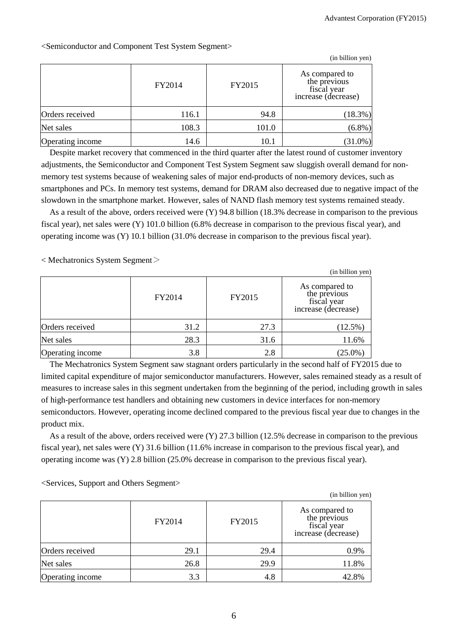|                  |        |        | (in billion yen)                                                     |
|------------------|--------|--------|----------------------------------------------------------------------|
|                  | FY2014 | FY2015 | As compared to<br>the previous<br>fiscal year<br>increase (decrease) |
| Orders received  | 116.1  | 94.8   | (18.3%)                                                              |
| Net sales        | 108.3  | 101.0  | $(6.8\%)$                                                            |
| Operating income | 14.6   | 10.1   | $(31.0\%)$                                                           |

<Semiconductor and Component Test System Segment>

Despite market recovery that commenced in the third quarter after the latest round of customer inventory adjustments, the Semiconductor and Component Test System Segment saw sluggish overall demand for nonmemory test systems because of weakening sales of major end-products of non-memory devices, such as smartphones and PCs. In memory test systems, demand for DRAM also decreased due to negative impact of the slowdown in the smartphone market. However, sales of NAND flash memory test systems remained steady.

As a result of the above, orders received were (Y) 94.8 billion (18.3% decrease in comparison to the previous fiscal year), net sales were (Y) 101.0 billion (6.8% decrease in comparison to the previous fiscal year), and operating income was (Y) 10.1 billion (31.0% decrease in comparison to the previous fiscal year).

< Mechatronics System Segment>

| (in billion yen) |        |        |                                                                      |  |  |
|------------------|--------|--------|----------------------------------------------------------------------|--|--|
|                  | FY2014 | FY2015 | As compared to<br>the previous<br>fiscal year<br>increase (decrease) |  |  |
| Orders received  | 31.2   | 27.3   | $(12.5\%)$                                                           |  |  |
| Net sales        | 28.3   | 31.6   | 11.6%                                                                |  |  |
| Operating income | 3.8    | 2.8    | $(25.0\%)$                                                           |  |  |

The Mechatronics System Segment saw stagnant orders particularly in the second half of FY2015 due to limited capital expenditure of major semiconductor manufacturers. However, sales remained steady as a result of measures to increase sales in this segment undertaken from the beginning of the period, including growth in sales of high-performance test handlers and obtaining new customers in device interfaces for non-memory semiconductors. However, operating income declined compared to the previous fiscal year due to changes in the product mix.

As a result of the above, orders received were (Y) 27.3 billion (12.5% decrease in comparison to the previous fiscal year), net sales were (Y) 31.6 billion (11.6% increase in comparison to the previous fiscal year), and operating income was (Y) 2.8 billion (25.0% decrease in comparison to the previous fiscal year).

<Services, Support and Others Segment>

|                  |        |        | (in billion yen)                                                     |
|------------------|--------|--------|----------------------------------------------------------------------|
|                  | FY2014 | FY2015 | As compared to<br>the previous<br>fiscal year<br>increase (decrease) |
| Orders received  | 29.1   | 29.4   | 0.9%                                                                 |
| Net sales        | 26.8   | 29.9   | 11.8%                                                                |
| Operating income | 3.3    | 4.8    | 42.8%                                                                |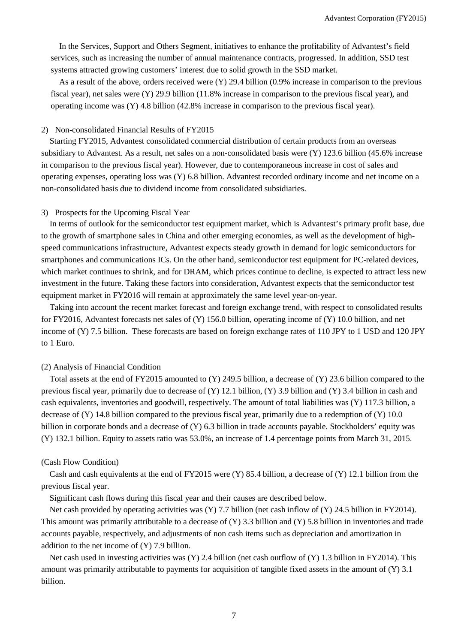In the Services, Support and Others Segment, initiatives to enhance the profitability of Advantest's field services, such as increasing the number of annual maintenance contracts, progressed. In addition, SSD test systems attracted growing customers' interest due to solid growth in the SSD market.

As a result of the above, orders received were (Y) 29.4 billion (0.9% increase in comparison to the previous fiscal year), net sales were (Y) 29.9 billion (11.8% increase in comparison to the previous fiscal year), and operating income was (Y) 4.8 billion (42.8% increase in comparison to the previous fiscal year).

#### 2) Non-consolidated Financial Results of FY2015

Starting FY2015, Advantest consolidated commercial distribution of certain products from an overseas subsidiary to Advantest. As a result, net sales on a non-consolidated basis were (Y) 123.6 billion (45.6% increase in comparison to the previous fiscal year). However, due to contemporaneous increase in cost of sales and operating expenses, operating loss was (Y) 6.8 billion. Advantest recorded ordinary income and net income on a non-consolidated basis due to dividend income from consolidated subsidiaries.

#### 3) Prospects for the Upcoming Fiscal Year

In terms of outlook for the semiconductor test equipment market, which is Advantest's primary profit base, due to the growth of smartphone sales in China and other emerging economies, as well as the development of highspeed communications infrastructure, Advantest expects steady growth in demand for logic semiconductors for smartphones and communications ICs. On the other hand, semiconductor test equipment for PC-related devices, which market continues to shrink, and for DRAM, which prices continue to decline, is expected to attract less new investment in the future. Taking these factors into consideration, Advantest expects that the semiconductor test equipment market in FY2016 will remain at approximately the same level year-on-year.

Taking into account the recent market forecast and foreign exchange trend, with respect to consolidated results for FY2016, Advantest forecasts net sales of (Y) 156.0 billion, operating income of (Y) 10.0 billion, and net income of (Y) 7.5 billion. These forecasts are based on foreign exchange rates of 110 JPY to 1 USD and 120 JPY to 1 Euro.

#### (2) Analysis of Financial Condition

Total assets at the end of FY2015 amounted to (Y) 249.5 billion, a decrease of (Y) 23.6 billion compared to the previous fiscal year, primarily due to decrease of (Y) 12.1 billion, (Y) 3.9 billion and (Y) 3.4 billion in cash and cash equivalents, inventories and goodwill, respectively. The amount of total liabilities was (Y) 117.3 billion, a decrease of (Y) 14.8 billion compared to the previous fiscal year, primarily due to a redemption of (Y) 10.0 billion in corporate bonds and a decrease of (Y) 6.3 billion in trade accounts payable. Stockholders' equity was (Y) 132.1 billion. Equity to assets ratio was 53.0%, an increase of 1.4 percentage points from March 31, 2015.

#### (Cash Flow Condition)

Cash and cash equivalents at the end of FY2015 were (Y) 85.4 billion, a decrease of (Y) 12.1 billion from the previous fiscal year.

Significant cash flows during this fiscal year and their causes are described below.

Net cash provided by operating activities was (Y) 7.7 billion (net cash inflow of (Y) 24.5 billion in FY2014). This amount was primarily attributable to a decrease of  $(Y)$  3.3 billion and  $(Y)$  5.8 billion in inventories and trade accounts payable, respectively, and adjustments of non cash items such as depreciation and amortization in addition to the net income of (Y) 7.9 billion.

Net cash used in investing activities was (Y) 2.4 billion (net cash outflow of (Y) 1.3 billion in FY2014). This amount was primarily attributable to payments for acquisition of tangible fixed assets in the amount of (Y) 3.1 billion.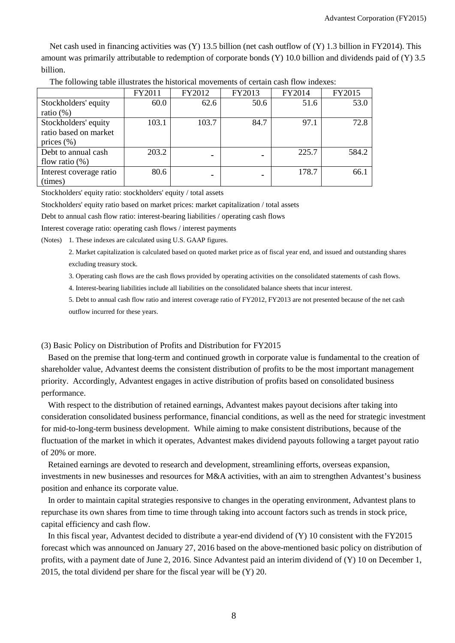Net cash used in financing activities was (Y) 13.5 billion (net cash outflow of (Y) 1.3 billion in FY2014). This amount was primarily attributable to redemption of corporate bonds (Y) 10.0 billion and dividends paid of (Y) 3.5 billion.

|                         | FY2011 | FY2012 | FY2013 | FY2014 | FY2015 |
|-------------------------|--------|--------|--------|--------|--------|
| Stockholders' equity    | 60.0   | 62.6   | 50.6   | 51.6   | 53.0   |
| ratio $(\%)$            |        |        |        |        |        |
| Stockholders' equity    | 103.1  | 103.7  | 84.7   | 97.1   | 72.8   |
| ratio based on market   |        |        |        |        |        |
| prices $(\% )$          |        |        |        |        |        |
| Debt to annual cash     | 203.2  |        | -      | 225.7  | 584.2  |
| flow ratio $(\%)$       |        |        |        |        |        |
| Interest coverage ratio | 80.6   |        | -      | 178.7  | 66.1   |
| (times)                 |        |        |        |        |        |

The following table illustrates the historical movements of certain cash flow indexes:

Stockholders' equity ratio: stockholders' equity / total assets

Stockholders' equity ratio based on market prices: market capitalization / total assets

Debt to annual cash flow ratio: interest-bearing liabilities / operating cash flows

Interest coverage ratio: operating cash flows / interest payments

(Notes) 1. These indexes are calculated using U.S. GAAP figures.

2. Market capitalization is calculated based on quoted market price as of fiscal year end, and issued and outstanding shares excluding treasury stock.

3. Operating cash flows are the cash flows provided by operating activities on the consolidated statements of cash flows.

4. Interest-bearing liabilities include all liabilities on the consolidated balance sheets that incur interest.

5. Debt to annual cash flow ratio and interest coverage ratio of FY2012, FY2013 are not presented because of the net cash outflow incurred for these years.

#### (3) Basic Policy on Distribution of Profits and Distribution for FY2015

Based on the premise that long-term and continued growth in corporate value is fundamental to the creation of shareholder value, Advantest deems the consistent distribution of profits to be the most important management priority. Accordingly, Advantest engages in active distribution of profits based on consolidated business performance.

With respect to the distribution of retained earnings, Advantest makes payout decisions after taking into consideration consolidated business performance, financial conditions, as well as the need for strategic investment for mid-to-long-term business development. While aiming to make consistent distributions, because of the fluctuation of the market in which it operates, Advantest makes dividend payouts following a target payout ratio of 20% or more.

Retained earnings are devoted to research and development, streamlining efforts, overseas expansion, investments in new businesses and resources for M&A activities, with an aim to strengthen Advantest's business position and enhance its corporate value.

In order to maintain capital strategies responsive to changes in the operating environment, Advantest plans to repurchase its own shares from time to time through taking into account factors such as trends in stock price, capital efficiency and cash flow.

In this fiscal year, Advantest decided to distribute a year-end dividend of (Y) 10 consistent with the FY2015 forecast which was announced on January 27, 2016 based on the above-mentioned basic policy on distribution of profits, with a payment date of June 2, 2016. Since Advantest paid an interim dividend of (Y) 10 on December 1, 2015, the total dividend per share for the fiscal year will be (Y) 20.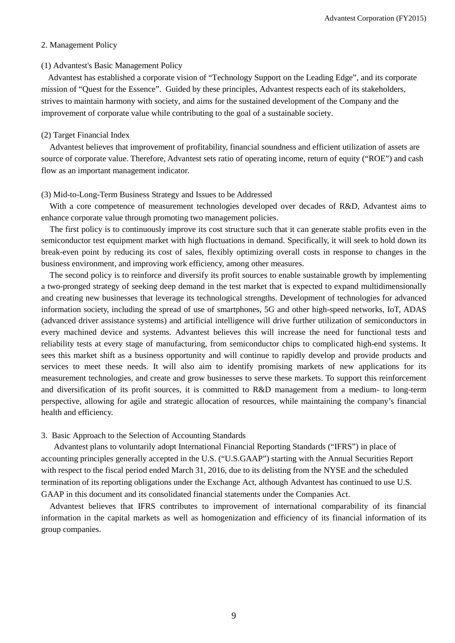#### 2. Management Policy

#### (1) Advantest's Basic Management Policy

Advantest has established a corporate vision of "Technology Support on the Leading Edge", and its corporate mission of "Quest for the Essence". Guided by these principles, Advantest respects each of its stakeholders, strives to maintain harmony with society, and aims for the sustained development of the Company and the improvement of corporate value while contributing to the goal of a sustainable society.

## (2) Target Financial Index

Advantest believes that improvement of profitability, financial soundness and efficient utilization of assets are source of corporate value. Therefore, Advantest sets ratio of operating income, return of equity ("ROE") and cash flow as an important management indicator.

## (3) Mid-to-Long-Term Business Strategy and Issues to be Addressed

With a core competence of measurement technologies developed over decades of R&D, Advantest aims to enhance corporate value through promoting two management policies.

The first policy is to continuously improve its cost structure such that it can generate stable profits even in the semiconductor test equipment market with high fluctuations in demand. Specifically, it will seek to hold down its break-even point by reducing its cost of sales, flexibly optimizing overall costs in response to changes in the business environment, and improving work efficiency, among other measures.

The second policy is to reinforce and diversify its profit sources to enable sustainable growth by implementing a two-pronged strategy of seeking deep demand in the test market that is expected to expand multidimensionally and creating new businesses that leverage its technological strengths. Development of technologies for advanced information society, including the spread of use of smartphones, 5G and other high-speed networks, IoT, ADAS (advanced driver assistance systems) and artificial intelligence will drive further utilization of semiconductors in every machined device and systems. Advantest believes this will increase the need for functional tests and reliability tests at every stage of manufacturing, from semiconductor chips to complicated high-end systems. It sees this market shift as a business opportunity and will continue to rapidly develop and provide products and services to meet these needs. It will also aim to identify promising markets of new applications for its measurement technologies, and create and grow businesses to serve these markets. To support this reinforcement and diversification of its profit sources, it is committed to R&D management from a medium- to long-term perspective, allowing for agile and strategic allocation of resources, while maintaining the company's financial health and efficiency.

### 3. Basic Approach to the Selection of Accounting Standards

Advantest plans to voluntarily adopt International Financial Reporting Standards ("IFRS") in place of accounting principles generally accepted in the U.S. ("U.S.GAAP") starting with the Annual Securities Report with respect to the fiscal period ended March 31, 2016, due to its delisting from the NYSE and the scheduled termination of its reporting obligations under the Exchange Act, although Advantest has continued to use U.S. GAAP in this document and its consolidated financial statements under the Companies Act.

Advantest believes that IFRS contributes to improvement of international comparability of its financial information in the capital markets as well as homogenization and efficiency of its financial information of its group companies.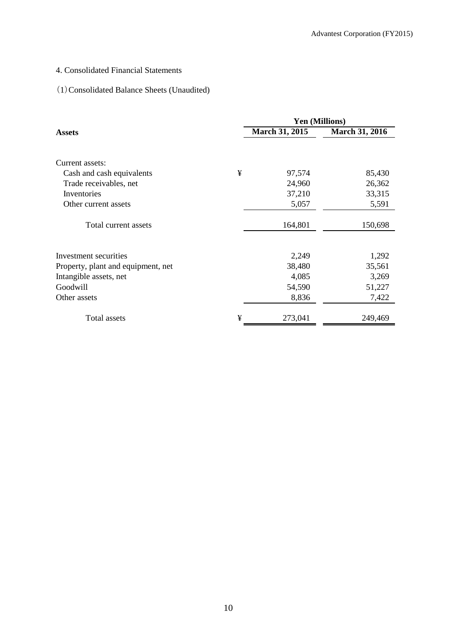# 4. Consolidated Financial Statements

# (1)Consolidated Balance Sheets (Unaudited)

|                                    |   | <b>Yen (Millions)</b> |                       |  |  |
|------------------------------------|---|-----------------------|-----------------------|--|--|
| <b>Assets</b>                      |   | <b>March 31, 2015</b> | <b>March 31, 2016</b> |  |  |
| Current assets:                    |   |                       |                       |  |  |
| Cash and cash equivalents          | ¥ | 97,574                | 85,430                |  |  |
| Trade receivables, net             |   | 24,960                | 26,362                |  |  |
| Inventories                        |   | 37,210                | 33,315                |  |  |
| Other current assets               |   | 5,057                 | 5,591                 |  |  |
| Total current assets               |   | 164,801               | 150,698               |  |  |
| Investment securities              |   | 2,249                 | 1,292                 |  |  |
| Property, plant and equipment, net |   | 38,480                | 35,561                |  |  |
| Intangible assets, net             |   | 4,085                 | 3,269                 |  |  |
| Goodwill                           |   | 54,590                | 51,227                |  |  |
| Other assets                       |   | 8,836                 | 7,422                 |  |  |
| Total assets                       | ¥ | 273,041               | 249,469               |  |  |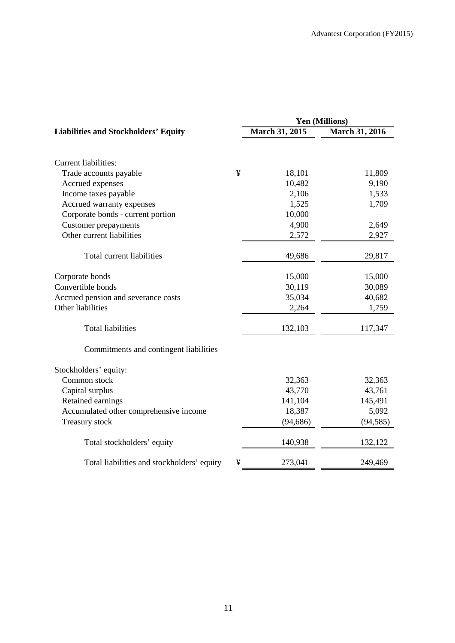|                                             | Yen (Millions)        |                       |  |  |
|---------------------------------------------|-----------------------|-----------------------|--|--|
| <b>Liabilities and Stockholders' Equity</b> | <b>March 31, 2015</b> | <b>March 31, 2016</b> |  |  |
|                                             |                       |                       |  |  |
| <b>Current liabilities:</b>                 |                       |                       |  |  |
| Trade accounts payable                      | ¥<br>18,101           | 11,809                |  |  |
| Accrued expenses                            | 10,482                | 9,190                 |  |  |
| Income taxes payable                        | 2,106                 | 1,533                 |  |  |
| Accrued warranty expenses                   | 1,525                 | 1,709                 |  |  |
| Corporate bonds - current portion           | 10,000                |                       |  |  |
| <b>Customer</b> prepayments                 | 4,900                 | 2,649                 |  |  |
| Other current liabilities                   | 2,572                 | 2,927                 |  |  |
| Total current liabilities                   | 49,686                | 29,817                |  |  |
| Corporate bonds                             | 15,000                | 15,000                |  |  |
| Convertible bonds                           | 30,119                | 30,089                |  |  |
| Accrued pension and severance costs         | 35,034                | 40,682                |  |  |
| Other liabilities                           | 2,264                 | 1,759                 |  |  |
| <b>Total liabilities</b>                    | 132,103               | 117,347               |  |  |
| Commitments and contingent liabilities      |                       |                       |  |  |
| Stockholders' equity:                       |                       |                       |  |  |
| Common stock                                | 32,363                | 32,363                |  |  |
| Capital surplus                             | 43,770                | 43,761                |  |  |
| Retained earnings                           | 141,104               | 145,491               |  |  |
| Accumulated other comprehensive income      | 18,387                | 5,092                 |  |  |
| Treasury stock                              | (94, 686)             | (94, 585)             |  |  |
| Total stockholders' equity                  | 140,938               | 132,122               |  |  |
| Total liabilities and stockholders' equity  | ¥<br>273,041          | 249,469               |  |  |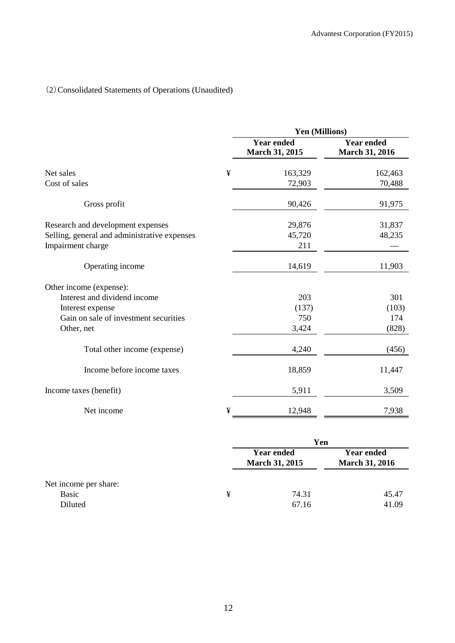# (2)Consolidated Statements of Operations (Unaudited)

|                                                                   |   | Yen (Millions)                             |                                            |  |  |  |
|-------------------------------------------------------------------|---|--------------------------------------------|--------------------------------------------|--|--|--|
|                                                                   |   | <b>Year ended</b><br><b>March 31, 2015</b> | <b>Year ended</b><br><b>March 31, 2016</b> |  |  |  |
| Net sales                                                         | ¥ | 163,329                                    | 162,463                                    |  |  |  |
| Cost of sales                                                     |   | 72,903                                     | 70,488                                     |  |  |  |
| Gross profit                                                      |   | 90,426                                     | 91,975                                     |  |  |  |
| Research and development expenses                                 |   | 29,876                                     | 31,837                                     |  |  |  |
| Selling, general and administrative expenses<br>Impairment charge |   | 45,720<br>211                              | 48,235                                     |  |  |  |
| Operating income                                                  |   | 14,619                                     | 11,903                                     |  |  |  |
| Other income (expense):                                           |   |                                            |                                            |  |  |  |
| Interest and dividend income                                      |   | 203                                        | 301                                        |  |  |  |
| Interest expense                                                  |   | (137)                                      | (103)                                      |  |  |  |
| Gain on sale of investment securities                             |   | 750                                        | 174                                        |  |  |  |
| Other, net                                                        |   | 3,424                                      | (828)                                      |  |  |  |
| Total other income (expense)                                      |   | 4,240                                      | (456)                                      |  |  |  |
| Income before income taxes                                        |   | 18,859                                     | 11,447                                     |  |  |  |
| Income taxes (benefit)                                            |   | 5,911                                      | 3,509                                      |  |  |  |
| Net income                                                        | ¥ | 12,948                                     | 7,938                                      |  |  |  |

|                                           |   | Yen                                        |                                            |  |  |  |
|-------------------------------------------|---|--------------------------------------------|--------------------------------------------|--|--|--|
|                                           |   | <b>Year ended</b><br><b>March 31, 2015</b> | <b>Year ended</b><br><b>March 31, 2016</b> |  |  |  |
| Net income per share:<br>Basic<br>Diluted | ¥ | 74.31<br>67.16                             | 45.47<br>41.09                             |  |  |  |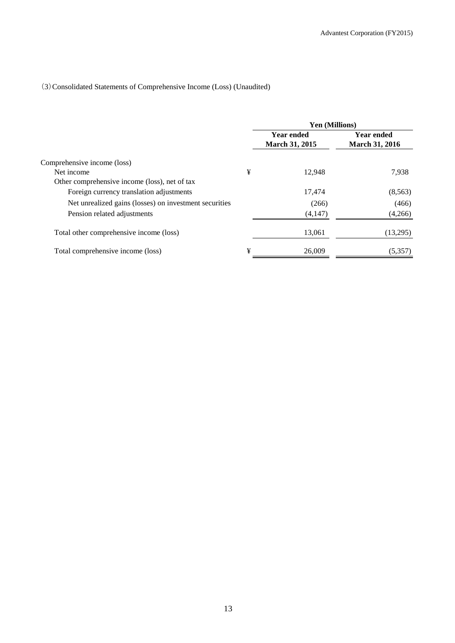# (3)Consolidated Statements of Comprehensive Income (Loss) (Unaudited)

|                                                        |   | Yen (Millions)                             |                                            |  |  |
|--------------------------------------------------------|---|--------------------------------------------|--------------------------------------------|--|--|
|                                                        |   | <b>Year ended</b><br><b>March 31, 2015</b> | <b>Year ended</b><br><b>March 31, 2016</b> |  |  |
| Comprehensive income (loss)                            |   |                                            |                                            |  |  |
| Net income                                             | ¥ | 12.948                                     | 7,938                                      |  |  |
| Other comprehensive income (loss), net of tax          |   |                                            |                                            |  |  |
| Foreign currency translation adjustments               |   | 17,474                                     | (8,563)                                    |  |  |
| Net unrealized gains (losses) on investment securities |   | (266)                                      | (466)                                      |  |  |
| Pension related adjustments                            |   | (4,147)                                    | (4,266)                                    |  |  |
| Total other comprehensive income (loss)                |   | 13,061                                     | (13,295)                                   |  |  |
| Total comprehensive income (loss)                      | ¥ | 26,009                                     | (5,357)                                    |  |  |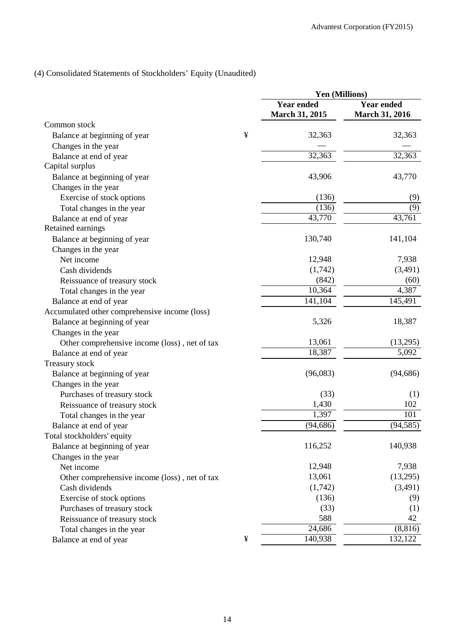# (4) Consolidated Statements of Stockholders' Equity (Unaudited)

| <b>Year ended</b><br><b>Year ended</b><br><b>March 31, 2015</b><br><b>March 31, 2016</b><br>Common stock<br>¥<br>32,363<br>32,363<br>Balance at beginning of year<br>Changes in the year<br>32,363<br>32,363<br>Balance at end of year<br>Capital surplus<br>43,770<br>Balance at beginning of year<br>43,906<br>Changes in the year<br>Exercise of stock options<br>(136)<br>(9)<br>(136)<br>$\overline{(9)}$<br>Total changes in the year<br>43,761<br>$\overline{43,770}$<br>Balance at end of year<br>Retained earnings<br>130,740<br>141,104<br>Balance at beginning of year<br>Changes in the year<br>Net income<br>12,948<br>7,938<br>(1,742)<br>(3,491)<br>Cash dividends<br>(842)<br>(60)<br>Reissuance of treasury stock<br>4,387<br>10,364<br>Total changes in the year<br>141,104<br>145,491<br>Balance at end of year<br>Accumulated other comprehensive income (loss)<br>5,326<br>18,387<br>Balance at beginning of year<br>Changes in the year<br>13,061<br>(13,295)<br>Other comprehensive income (loss), net of tax<br>5,092<br>18,387<br>Balance at end of year<br>Treasury stock<br>(96,083)<br>(94, 686)<br>Balance at beginning of year<br>Changes in the year<br>(33)<br>Purchases of treasury stock<br>(1)<br>1,430<br>102<br>Reissuance of treasury stock<br>1,397<br>101<br>Total changes in the year<br>(94, 686)<br>(94, 585)<br>Balance at end of year<br>Total stockholders' equity<br>116,252<br>140,938<br>Balance at beginning of year<br>Changes in the year<br>12,948<br>7,938<br>Net income<br>13,061<br>(13,295)<br>Other comprehensive income (loss), net of tax<br>(1,742)<br>(3,491)<br>Cash dividends<br>Exercise of stock options<br>(136)<br>(9)<br>(33)<br>Purchases of treasury stock<br>(1)<br>588<br>42<br>Reissuance of treasury stock<br>(8, 816)<br>24,686<br>Total changes in the year |                        |   | Yen (Millions) |         |  |
|------------------------------------------------------------------------------------------------------------------------------------------------------------------------------------------------------------------------------------------------------------------------------------------------------------------------------------------------------------------------------------------------------------------------------------------------------------------------------------------------------------------------------------------------------------------------------------------------------------------------------------------------------------------------------------------------------------------------------------------------------------------------------------------------------------------------------------------------------------------------------------------------------------------------------------------------------------------------------------------------------------------------------------------------------------------------------------------------------------------------------------------------------------------------------------------------------------------------------------------------------------------------------------------------------------------------------------------------------------------------------------------------------------------------------------------------------------------------------------------------------------------------------------------------------------------------------------------------------------------------------------------------------------------------------------------------------------------------------------------------------------------------------------------------------------------------------------------|------------------------|---|----------------|---------|--|
|                                                                                                                                                                                                                                                                                                                                                                                                                                                                                                                                                                                                                                                                                                                                                                                                                                                                                                                                                                                                                                                                                                                                                                                                                                                                                                                                                                                                                                                                                                                                                                                                                                                                                                                                                                                                                                          |                        |   |                |         |  |
|                                                                                                                                                                                                                                                                                                                                                                                                                                                                                                                                                                                                                                                                                                                                                                                                                                                                                                                                                                                                                                                                                                                                                                                                                                                                                                                                                                                                                                                                                                                                                                                                                                                                                                                                                                                                                                          |                        |   |                |         |  |
|                                                                                                                                                                                                                                                                                                                                                                                                                                                                                                                                                                                                                                                                                                                                                                                                                                                                                                                                                                                                                                                                                                                                                                                                                                                                                                                                                                                                                                                                                                                                                                                                                                                                                                                                                                                                                                          |                        |   |                |         |  |
|                                                                                                                                                                                                                                                                                                                                                                                                                                                                                                                                                                                                                                                                                                                                                                                                                                                                                                                                                                                                                                                                                                                                                                                                                                                                                                                                                                                                                                                                                                                                                                                                                                                                                                                                                                                                                                          |                        |   |                |         |  |
|                                                                                                                                                                                                                                                                                                                                                                                                                                                                                                                                                                                                                                                                                                                                                                                                                                                                                                                                                                                                                                                                                                                                                                                                                                                                                                                                                                                                                                                                                                                                                                                                                                                                                                                                                                                                                                          |                        |   |                |         |  |
|                                                                                                                                                                                                                                                                                                                                                                                                                                                                                                                                                                                                                                                                                                                                                                                                                                                                                                                                                                                                                                                                                                                                                                                                                                                                                                                                                                                                                                                                                                                                                                                                                                                                                                                                                                                                                                          |                        |   |                |         |  |
|                                                                                                                                                                                                                                                                                                                                                                                                                                                                                                                                                                                                                                                                                                                                                                                                                                                                                                                                                                                                                                                                                                                                                                                                                                                                                                                                                                                                                                                                                                                                                                                                                                                                                                                                                                                                                                          |                        |   |                |         |  |
|                                                                                                                                                                                                                                                                                                                                                                                                                                                                                                                                                                                                                                                                                                                                                                                                                                                                                                                                                                                                                                                                                                                                                                                                                                                                                                                                                                                                                                                                                                                                                                                                                                                                                                                                                                                                                                          |                        |   |                |         |  |
|                                                                                                                                                                                                                                                                                                                                                                                                                                                                                                                                                                                                                                                                                                                                                                                                                                                                                                                                                                                                                                                                                                                                                                                                                                                                                                                                                                                                                                                                                                                                                                                                                                                                                                                                                                                                                                          |                        |   |                |         |  |
|                                                                                                                                                                                                                                                                                                                                                                                                                                                                                                                                                                                                                                                                                                                                                                                                                                                                                                                                                                                                                                                                                                                                                                                                                                                                                                                                                                                                                                                                                                                                                                                                                                                                                                                                                                                                                                          |                        |   |                |         |  |
|                                                                                                                                                                                                                                                                                                                                                                                                                                                                                                                                                                                                                                                                                                                                                                                                                                                                                                                                                                                                                                                                                                                                                                                                                                                                                                                                                                                                                                                                                                                                                                                                                                                                                                                                                                                                                                          |                        |   |                |         |  |
|                                                                                                                                                                                                                                                                                                                                                                                                                                                                                                                                                                                                                                                                                                                                                                                                                                                                                                                                                                                                                                                                                                                                                                                                                                                                                                                                                                                                                                                                                                                                                                                                                                                                                                                                                                                                                                          |                        |   |                |         |  |
|                                                                                                                                                                                                                                                                                                                                                                                                                                                                                                                                                                                                                                                                                                                                                                                                                                                                                                                                                                                                                                                                                                                                                                                                                                                                                                                                                                                                                                                                                                                                                                                                                                                                                                                                                                                                                                          |                        |   |                |         |  |
|                                                                                                                                                                                                                                                                                                                                                                                                                                                                                                                                                                                                                                                                                                                                                                                                                                                                                                                                                                                                                                                                                                                                                                                                                                                                                                                                                                                                                                                                                                                                                                                                                                                                                                                                                                                                                                          |                        |   |                |         |  |
|                                                                                                                                                                                                                                                                                                                                                                                                                                                                                                                                                                                                                                                                                                                                                                                                                                                                                                                                                                                                                                                                                                                                                                                                                                                                                                                                                                                                                                                                                                                                                                                                                                                                                                                                                                                                                                          |                        |   |                |         |  |
|                                                                                                                                                                                                                                                                                                                                                                                                                                                                                                                                                                                                                                                                                                                                                                                                                                                                                                                                                                                                                                                                                                                                                                                                                                                                                                                                                                                                                                                                                                                                                                                                                                                                                                                                                                                                                                          |                        |   |                |         |  |
|                                                                                                                                                                                                                                                                                                                                                                                                                                                                                                                                                                                                                                                                                                                                                                                                                                                                                                                                                                                                                                                                                                                                                                                                                                                                                                                                                                                                                                                                                                                                                                                                                                                                                                                                                                                                                                          |                        |   |                |         |  |
|                                                                                                                                                                                                                                                                                                                                                                                                                                                                                                                                                                                                                                                                                                                                                                                                                                                                                                                                                                                                                                                                                                                                                                                                                                                                                                                                                                                                                                                                                                                                                                                                                                                                                                                                                                                                                                          |                        |   |                |         |  |
|                                                                                                                                                                                                                                                                                                                                                                                                                                                                                                                                                                                                                                                                                                                                                                                                                                                                                                                                                                                                                                                                                                                                                                                                                                                                                                                                                                                                                                                                                                                                                                                                                                                                                                                                                                                                                                          |                        |   |                |         |  |
|                                                                                                                                                                                                                                                                                                                                                                                                                                                                                                                                                                                                                                                                                                                                                                                                                                                                                                                                                                                                                                                                                                                                                                                                                                                                                                                                                                                                                                                                                                                                                                                                                                                                                                                                                                                                                                          |                        |   |                |         |  |
|                                                                                                                                                                                                                                                                                                                                                                                                                                                                                                                                                                                                                                                                                                                                                                                                                                                                                                                                                                                                                                                                                                                                                                                                                                                                                                                                                                                                                                                                                                                                                                                                                                                                                                                                                                                                                                          |                        |   |                |         |  |
|                                                                                                                                                                                                                                                                                                                                                                                                                                                                                                                                                                                                                                                                                                                                                                                                                                                                                                                                                                                                                                                                                                                                                                                                                                                                                                                                                                                                                                                                                                                                                                                                                                                                                                                                                                                                                                          |                        |   |                |         |  |
|                                                                                                                                                                                                                                                                                                                                                                                                                                                                                                                                                                                                                                                                                                                                                                                                                                                                                                                                                                                                                                                                                                                                                                                                                                                                                                                                                                                                                                                                                                                                                                                                                                                                                                                                                                                                                                          |                        |   |                |         |  |
|                                                                                                                                                                                                                                                                                                                                                                                                                                                                                                                                                                                                                                                                                                                                                                                                                                                                                                                                                                                                                                                                                                                                                                                                                                                                                                                                                                                                                                                                                                                                                                                                                                                                                                                                                                                                                                          |                        |   |                |         |  |
|                                                                                                                                                                                                                                                                                                                                                                                                                                                                                                                                                                                                                                                                                                                                                                                                                                                                                                                                                                                                                                                                                                                                                                                                                                                                                                                                                                                                                                                                                                                                                                                                                                                                                                                                                                                                                                          |                        |   |                |         |  |
|                                                                                                                                                                                                                                                                                                                                                                                                                                                                                                                                                                                                                                                                                                                                                                                                                                                                                                                                                                                                                                                                                                                                                                                                                                                                                                                                                                                                                                                                                                                                                                                                                                                                                                                                                                                                                                          |                        |   |                |         |  |
|                                                                                                                                                                                                                                                                                                                                                                                                                                                                                                                                                                                                                                                                                                                                                                                                                                                                                                                                                                                                                                                                                                                                                                                                                                                                                                                                                                                                                                                                                                                                                                                                                                                                                                                                                                                                                                          |                        |   |                |         |  |
|                                                                                                                                                                                                                                                                                                                                                                                                                                                                                                                                                                                                                                                                                                                                                                                                                                                                                                                                                                                                                                                                                                                                                                                                                                                                                                                                                                                                                                                                                                                                                                                                                                                                                                                                                                                                                                          |                        |   |                |         |  |
|                                                                                                                                                                                                                                                                                                                                                                                                                                                                                                                                                                                                                                                                                                                                                                                                                                                                                                                                                                                                                                                                                                                                                                                                                                                                                                                                                                                                                                                                                                                                                                                                                                                                                                                                                                                                                                          |                        |   |                |         |  |
|                                                                                                                                                                                                                                                                                                                                                                                                                                                                                                                                                                                                                                                                                                                                                                                                                                                                                                                                                                                                                                                                                                                                                                                                                                                                                                                                                                                                                                                                                                                                                                                                                                                                                                                                                                                                                                          |                        |   |                |         |  |
|                                                                                                                                                                                                                                                                                                                                                                                                                                                                                                                                                                                                                                                                                                                                                                                                                                                                                                                                                                                                                                                                                                                                                                                                                                                                                                                                                                                                                                                                                                                                                                                                                                                                                                                                                                                                                                          |                        |   |                |         |  |
|                                                                                                                                                                                                                                                                                                                                                                                                                                                                                                                                                                                                                                                                                                                                                                                                                                                                                                                                                                                                                                                                                                                                                                                                                                                                                                                                                                                                                                                                                                                                                                                                                                                                                                                                                                                                                                          |                        |   |                |         |  |
|                                                                                                                                                                                                                                                                                                                                                                                                                                                                                                                                                                                                                                                                                                                                                                                                                                                                                                                                                                                                                                                                                                                                                                                                                                                                                                                                                                                                                                                                                                                                                                                                                                                                                                                                                                                                                                          |                        |   |                |         |  |
|                                                                                                                                                                                                                                                                                                                                                                                                                                                                                                                                                                                                                                                                                                                                                                                                                                                                                                                                                                                                                                                                                                                                                                                                                                                                                                                                                                                                                                                                                                                                                                                                                                                                                                                                                                                                                                          |                        |   |                |         |  |
|                                                                                                                                                                                                                                                                                                                                                                                                                                                                                                                                                                                                                                                                                                                                                                                                                                                                                                                                                                                                                                                                                                                                                                                                                                                                                                                                                                                                                                                                                                                                                                                                                                                                                                                                                                                                                                          |                        |   |                |         |  |
|                                                                                                                                                                                                                                                                                                                                                                                                                                                                                                                                                                                                                                                                                                                                                                                                                                                                                                                                                                                                                                                                                                                                                                                                                                                                                                                                                                                                                                                                                                                                                                                                                                                                                                                                                                                                                                          |                        |   |                |         |  |
|                                                                                                                                                                                                                                                                                                                                                                                                                                                                                                                                                                                                                                                                                                                                                                                                                                                                                                                                                                                                                                                                                                                                                                                                                                                                                                                                                                                                                                                                                                                                                                                                                                                                                                                                                                                                                                          |                        |   |                |         |  |
|                                                                                                                                                                                                                                                                                                                                                                                                                                                                                                                                                                                                                                                                                                                                                                                                                                                                                                                                                                                                                                                                                                                                                                                                                                                                                                                                                                                                                                                                                                                                                                                                                                                                                                                                                                                                                                          |                        |   |                |         |  |
|                                                                                                                                                                                                                                                                                                                                                                                                                                                                                                                                                                                                                                                                                                                                                                                                                                                                                                                                                                                                                                                                                                                                                                                                                                                                                                                                                                                                                                                                                                                                                                                                                                                                                                                                                                                                                                          |                        |   |                |         |  |
|                                                                                                                                                                                                                                                                                                                                                                                                                                                                                                                                                                                                                                                                                                                                                                                                                                                                                                                                                                                                                                                                                                                                                                                                                                                                                                                                                                                                                                                                                                                                                                                                                                                                                                                                                                                                                                          |                        |   |                |         |  |
|                                                                                                                                                                                                                                                                                                                                                                                                                                                                                                                                                                                                                                                                                                                                                                                                                                                                                                                                                                                                                                                                                                                                                                                                                                                                                                                                                                                                                                                                                                                                                                                                                                                                                                                                                                                                                                          |                        |   |                |         |  |
|                                                                                                                                                                                                                                                                                                                                                                                                                                                                                                                                                                                                                                                                                                                                                                                                                                                                                                                                                                                                                                                                                                                                                                                                                                                                                                                                                                                                                                                                                                                                                                                                                                                                                                                                                                                                                                          | Balance at end of year | ¥ | 140,938        | 132,122 |  |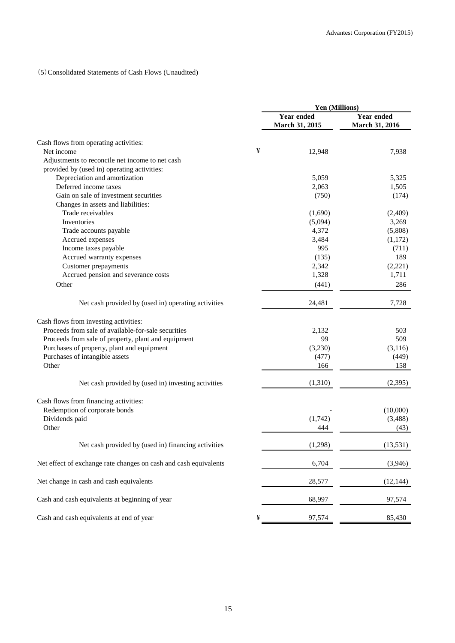## (5)Consolidated Statements of Cash Flows (Unaudited)

|                                                                  |   | Yen (Millions)               |                                     |  |
|------------------------------------------------------------------|---|------------------------------|-------------------------------------|--|
|                                                                  |   | Year ended<br>March 31, 2015 | <b>Year ended</b><br>March 31, 2016 |  |
| Cash flows from operating activities:                            |   |                              |                                     |  |
| Net income                                                       | ¥ | 12,948                       | 7,938                               |  |
| Adjustments to reconcile net income to net cash                  |   |                              |                                     |  |
| provided by (used in) operating activities:                      |   |                              |                                     |  |
| Depreciation and amortization                                    |   | 5.059                        | 5,325                               |  |
| Deferred income taxes                                            |   | 2,063                        | 1,505                               |  |
| Gain on sale of investment securities                            |   | (750)                        | (174)                               |  |
| Changes in assets and liabilities:                               |   |                              |                                     |  |
| Trade receivables                                                |   | (1,690)                      | (2,409)                             |  |
| Inventories                                                      |   | (5,094)                      | 3,269                               |  |
| Trade accounts payable                                           |   | 4,372                        | (5,808)                             |  |
| Accrued expenses                                                 |   | 3,484                        | (1,172)                             |  |
| Income taxes payable                                             |   | 995                          | (711)                               |  |
| Accrued warranty expenses                                        |   | (135)                        | 189                                 |  |
| Customer prepayments                                             |   | 2,342                        | (2,221)                             |  |
| Accrued pension and severance costs                              |   | 1,328                        | 1,711                               |  |
|                                                                  |   |                              |                                     |  |
| Other                                                            |   | (441)                        | 286                                 |  |
| Net cash provided by (used in) operating activities              |   | 24,481                       | 7,728                               |  |
| Cash flows from investing activities:                            |   |                              |                                     |  |
| Proceeds from sale of available-for-sale securities              |   | 2,132                        | 503                                 |  |
| Proceeds from sale of property, plant and equipment              |   | 99                           | 509                                 |  |
| Purchases of property, plant and equipment                       |   | (3,230)                      | (3,116)                             |  |
| Purchases of intangible assets                                   |   | (477)                        | (449)                               |  |
| Other                                                            |   | 166                          | 158                                 |  |
| Net cash provided by (used in) investing activities              |   | (1,310)                      | (2, 395)                            |  |
| Cash flows from financing activities:                            |   |                              |                                     |  |
| Redemption of corporate bonds                                    |   |                              | (10,000)                            |  |
| Dividends paid                                                   |   | (1,742)                      | (3,488)                             |  |
| Other                                                            |   | 444                          | (43)                                |  |
| Net cash provided by (used in) financing activities              |   | (1,298)                      | (13, 531)                           |  |
| Net effect of exchange rate changes on cash and cash equivalents |   | 6,704                        | (3,946)                             |  |
| Net change in cash and cash equivalents                          |   | 28,577                       | (12, 144)                           |  |
| Cash and cash equivalents at beginning of year                   |   | 68,997                       | 97,574                              |  |
| Cash and cash equivalents at end of year                         | ¥ | 97,574                       | 85,430                              |  |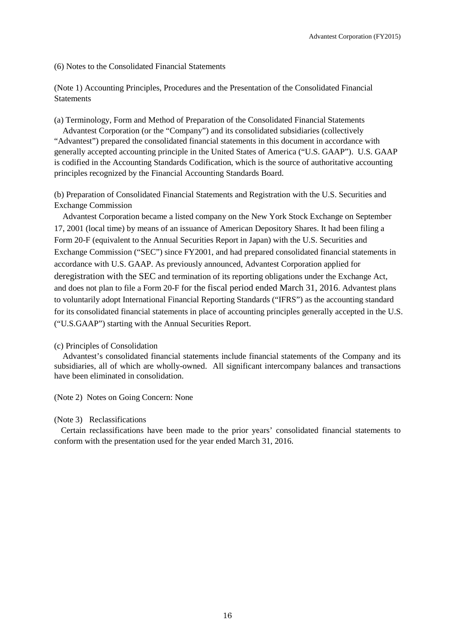(6) Notes to the Consolidated Financial Statements

(Note 1) Accounting Principles, Procedures and the Presentation of the Consolidated Financial **Statements** 

(a) Terminology, Form and Method of Preparation of the Consolidated Financial Statements Advantest Corporation (or the "Company") and its consolidated subsidiaries (collectively "Advantest") prepared the consolidated financial statements in this document in accordance with generally accepted accounting principle in the United States of America ("U.S. GAAP"). U.S. GAAP is codified in the Accounting Standards Codification, which is the source of authoritative accounting principles recognized by the Financial Accounting Standards Board.

(b) Preparation of Consolidated Financial Statements and Registration with the U.S. Securities and Exchange Commission

Advantest Corporation became a listed company on the New York Stock Exchange on September 17, 2001 (local time) by means of an issuance of American Depository Shares. It had been filing a Form 20-F (equivalent to the Annual Securities Report in Japan) with the U.S. Securities and Exchange Commission ("SEC") since FY2001, and had prepared consolidated financial statements in accordance with U.S. GAAP. As previously announced, Advantest Corporation applied for deregistration with the SEC and termination of its reporting obligations under the Exchange Act, and does not plan to file a Form 20-F for the fiscal period ended March 31, 2016. Advantest plans to voluntarily adopt International Financial Reporting Standards ("IFRS") as the accounting standard for its consolidated financial statements in place of accounting principles generally accepted in the U.S. ("U.S.GAAP") starting with the Annual Securities Report.

(c) Principles of Consolidation

Advantest's consolidated financial statements include financial statements of the Company and its subsidiaries, all of which are wholly-owned. All significant intercompany balances and transactions have been eliminated in consolidation.

(Note 2) Notes on Going Concern: None

#### (Note 3) Reclassifications

Certain reclassifications have been made to the prior years' consolidated financial statements to conform with the presentation used for the year ended March 31, 2016.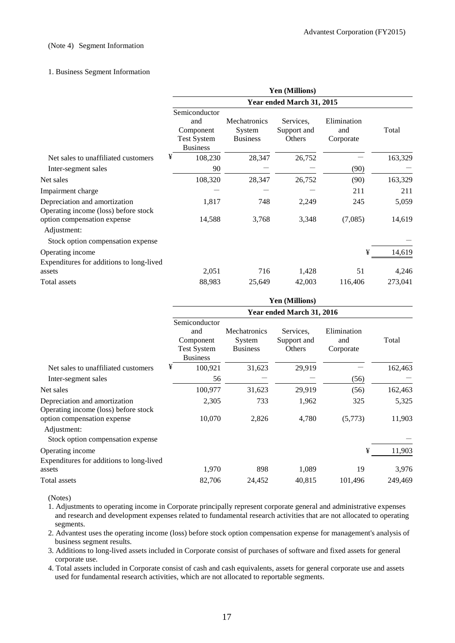#### (Note 4) Segment Information

#### 1. Business Segment Information

|                                                                       | Yen (Millions)<br>Year ended March 31, 2015                                |                                           |                                    |                                 |         |  |  |
|-----------------------------------------------------------------------|----------------------------------------------------------------------------|-------------------------------------------|------------------------------------|---------------------------------|---------|--|--|
|                                                                       |                                                                            |                                           |                                    |                                 |         |  |  |
|                                                                       | Semiconductor<br>and<br>Component<br><b>Test System</b><br><b>Business</b> | Mechatronics<br>System<br><b>Business</b> | Services.<br>Support and<br>Others | Elimination<br>and<br>Corporate | Total   |  |  |
| Net sales to unaffiliated customers                                   | ¥<br>108,230                                                               | 28,347                                    | 26,752                             |                                 | 163,329 |  |  |
| Inter-segment sales                                                   | 90                                                                         |                                           |                                    | (90)                            |         |  |  |
| Net sales                                                             | 108,320                                                                    | 28,347                                    | 26,752                             | (90)                            | 163,329 |  |  |
| Impairment charge                                                     |                                                                            |                                           |                                    | 211                             | 211     |  |  |
| Depreciation and amortization<br>Operating income (loss) before stock | 1,817                                                                      | 748                                       | 2,249                              | 245                             | 5,059   |  |  |
| option compensation expense<br>Adjustment:                            | 14,588                                                                     | 3,768                                     | 3,348                              | (7,085)                         | 14,619  |  |  |
| Stock option compensation expense                                     |                                                                            |                                           |                                    |                                 |         |  |  |
| Operating income                                                      |                                                                            |                                           |                                    | ¥                               | 14,619  |  |  |
| Expenditures for additions to long-lived<br>assets                    | 2,051                                                                      | 716                                       | 1,428                              | 51                              | 4,246   |  |  |
| Total assets                                                          | 88,983                                                                     | 25,649                                    | 42,003                             | 116,406                         | 273,041 |  |  |

|                                                                       | Yen (Millions)                                                             |                                                  |                                    |                                 |         |
|-----------------------------------------------------------------------|----------------------------------------------------------------------------|--------------------------------------------------|------------------------------------|---------------------------------|---------|
|                                                                       | Year ended March 31, 2016                                                  |                                                  |                                    |                                 |         |
|                                                                       | Semiconductor<br>and<br>Component<br><b>Test System</b><br><b>Business</b> | <b>Mechatronics</b><br>System<br><b>Business</b> | Services.<br>Support and<br>Others | Elimination<br>and<br>Corporate | Total   |
| Net sales to unaffiliated customers                                   | ¥<br>100,921                                                               | 31,623                                           | 29,919                             |                                 | 162,463 |
| Inter-segment sales                                                   | 56                                                                         |                                                  |                                    | (56)                            |         |
| Net sales                                                             | 100,977                                                                    | 31,623                                           | 29,919                             | (56)                            | 162,463 |
| Depreciation and amortization<br>Operating income (loss) before stock | 2,305                                                                      | 733                                              | 1,962                              | 325                             | 5,325   |
| option compensation expense<br>Adjustment:                            | 10,070                                                                     | 2,826                                            | 4,780                              | (5,773)                         | 11,903  |
| Stock option compensation expense                                     |                                                                            |                                                  |                                    |                                 |         |
| Operating income                                                      |                                                                            |                                                  |                                    | ¥                               | 11,903  |
| Expenditures for additions to long-lived<br>assets                    | 1,970                                                                      | 898                                              | 1,089                              | 19                              | 3,976   |
| Total assets                                                          | 82,706                                                                     | 24,452                                           | 40,815                             | 101,496                         | 249,469 |

(Notes)

1. Adjustments to operating income in Corporate principally represent corporate general and administrative expenses and research and development expenses related to fundamental research activities that are not allocated to operating segments.

2. Advantest uses the operating income (loss) before stock option compensation expense for management's analysis of business segment results.

3. Additions to long-lived assets included in Corporate consist of purchases of software and fixed assets for general corporate use.

4. Total assets included in Corporate consist of cash and cash equivalents, assets for general corporate use and assets used for fundamental research activities, which are not allocated to reportable segments.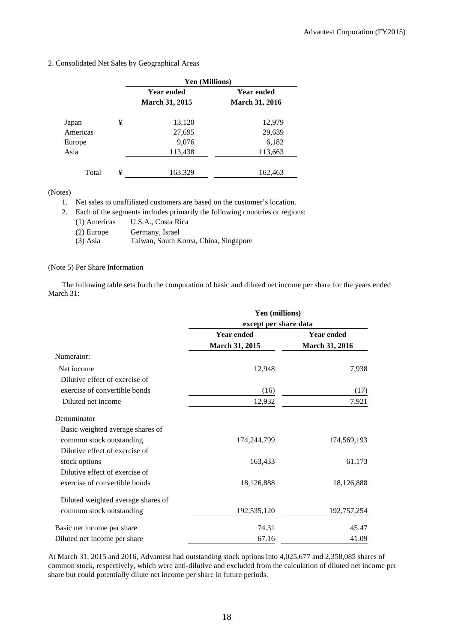2. Consolidated Net Sales by Geographical Areas

|          |   | <b>Yen (Millions)</b>                      |                                            |  |
|----------|---|--------------------------------------------|--------------------------------------------|--|
|          |   | <b>Year ended</b><br><b>March 31, 2015</b> | <b>Year ended</b><br><b>March 31, 2016</b> |  |
| Japan    | ¥ | 13,120                                     | 12,979                                     |  |
| Americas |   | 27,695                                     | 29,639                                     |  |
| Europe   |   | 9,076                                      | 6,182                                      |  |
| Asia     |   | 113,438                                    | 113,663                                    |  |
| Total    | ¥ | 163,329                                    | 162,463                                    |  |

(Notes)

1. Net sales to unaffiliated customers are based on the customer's location.

2. Each of the segments includes primarily the following countries or regions:

- (1) Americas U.S.A., Costa Rica
- (2) Europe Germany, Israel
- (3) Asia Taiwan, South Korea, China, Singapore

#### (Note 5) Per Share Information

The following table sets forth the computation of basic and diluted net income per share for the years ended March 31:

|                                    | Yen (millions)<br>except per share data |                       |  |
|------------------------------------|-----------------------------------------|-----------------------|--|
|                                    |                                         |                       |  |
|                                    | <b>Year ended</b>                       | <b>Year ended</b>     |  |
|                                    | March 31, 2015                          | <b>March 31, 2016</b> |  |
| Numerator:                         |                                         |                       |  |
| Net income                         | 12,948                                  | 7,938                 |  |
| Dilutive effect of exercise of     |                                         |                       |  |
| exercise of convertible bonds      | (16)                                    | (17)                  |  |
| Diluted net income                 | 12,932                                  | 7,921                 |  |
| Denominator                        |                                         |                       |  |
| Basic weighted average shares of   |                                         |                       |  |
| common stock outstanding           | 174,244,799                             | 174,569,193           |  |
| Dilutive effect of exercise of     |                                         |                       |  |
| stock options                      | 163,433                                 | 61,173                |  |
| Dilutive effect of exercise of     |                                         |                       |  |
| exercise of convertible bonds      | 18,126,888                              | 18,126,888            |  |
| Diluted weighted average shares of |                                         |                       |  |
| common stock outstanding           | 192,535,120                             | 192,757,254           |  |
| Basic net income per share         | 74.31                                   | 45.47                 |  |
| Diluted net income per share       | 67.16                                   | 41.09                 |  |

At March 31, 2015 and 2016, Advantest had outstanding stock options into 4,025,677 and 2,358,085 shares of common stock, respectively, which were anti-dilutive and excluded from the calculation of diluted net income per share but could potentially dilute net income per share in future periods.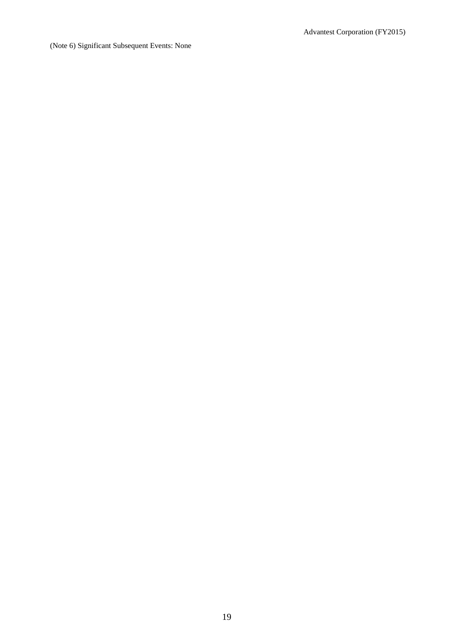(Note 6) Significant Subsequent Events: None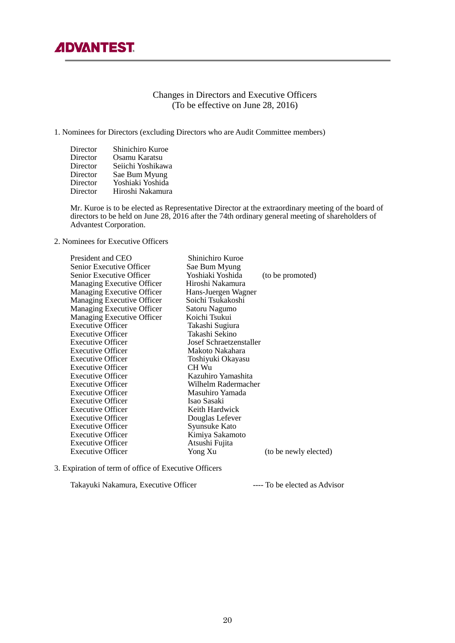# Changes in Directors and Executive Officers (To be effective on June 28, 2016)

#### 1. Nominees for Directors (excluding Directors who are Audit Committee members)

| Director | Shinichiro Kuroe  |
|----------|-------------------|
| Director | Osamu Karatsu     |
| Director | Seiichi Yoshikawa |
| Director | Sae Bum Myung     |
| Director | Yoshiaki Yoshida  |
| Director | Hiroshi Nakamura  |

 Mr. Kuroe is to be elected as Representative Director at the extraordinary meeting of the board of directors to be held on June 28, 2016 after the 74th ordinary general meeting of shareholders of Advantest Corporation.

2. Nominees for Executive Officers

| President and CEO          | Shinichiro Kuroe        |                       |
|----------------------------|-------------------------|-----------------------|
| Senior Executive Officer   | Sae Bum Myung           |                       |
| Senior Executive Officer   | Yoshiaki Yoshida        | (to be promoted)      |
| Managing Executive Officer | Hiroshi Nakamura        |                       |
| Managing Executive Officer | Hans-Juergen Wagner     |                       |
| Managing Executive Officer | Soichi Tsukakoshi       |                       |
| Managing Executive Officer | Satoru Nagumo           |                       |
| Managing Executive Officer | Koichi Tsukui           |                       |
| <b>Executive Officer</b>   | Takashi Sugiura         |                       |
| <b>Executive Officer</b>   | Takashi Sekino          |                       |
| <b>Executive Officer</b>   | Josef Schraetzenstaller |                       |
| <b>Executive Officer</b>   | Makoto Nakahara         |                       |
| <b>Executive Officer</b>   | Toshiyuki Okayasu       |                       |
| <b>Executive Officer</b>   | CH Wu                   |                       |
| <b>Executive Officer</b>   | Kazuhiro Yamashita      |                       |
| <b>Executive Officer</b>   | Wilhelm Radermacher     |                       |
| <b>Executive Officer</b>   | Masuhiro Yamada         |                       |
| <b>Executive Officer</b>   | Isao Sasaki             |                       |
| <b>Executive Officer</b>   | Keith Hardwick          |                       |
| <b>Executive Officer</b>   | Douglas Lefever         |                       |
| <b>Executive Officer</b>   | Syunsuke Kato           |                       |
| <b>Executive Officer</b>   | Kimiya Sakamoto         |                       |
| <b>Executive Officer</b>   | Atsushi Fujita          |                       |
| <b>Executive Officer</b>   | Yong Xu                 | (to be newly elected) |
|                            |                         |                       |

3. Expiration of term of office of Executive Officers

Takayuki Nakamura, Executive Officer ---- To be elected as Advisor